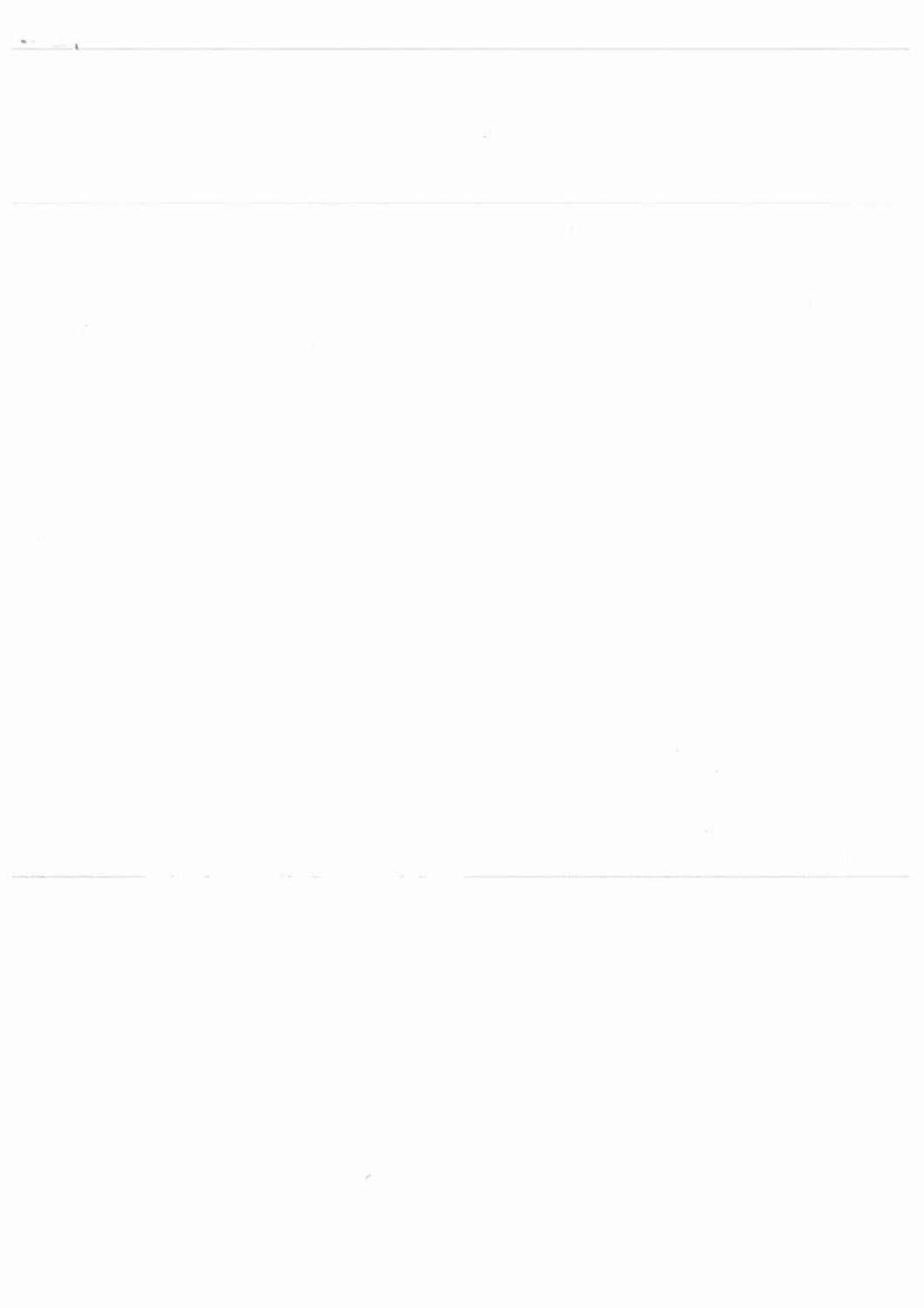# **BLACKPOOL BOROUGH COUNCIL THE BOROUGH OF BLACKPOOL (TOWN CENTRE) (VARIOUS RESTRICTIONS) AND (REVOCATIONS) ORDER 2009**

The Council of the Borough of Blackpool (hereinafter called "the Council") in exercise of its powers under Sections 1, 2, 4 and 124 and Part IV of Schedule 9 of the Road Traffic Regulation Act 1984 and after consultation with the Chief Officer of Police in accordance with Part III of Schedule 9 of the said Act of 1984 and in exercise of its powers under the Traffic Management Act 2004 and the Road Traffic (Permitted Parking Area and Special Parking Area) (Borough of Blackpool) Order 2003 (Statutory Instrument No. 2677) and of all other enabling powers hereby make the following Order:-

 $1.$  IN this order, except where the content otherwise requires, the following expression shall have the meaning hereby assigned to it, respectfully, that is to say:-

"penalty charge" **means** the charge imposed under **legislation** in respect of parking contraventions that are subject to civil enforcement;

`vehicle' shall not be taken to include non motorised vehicles

"local bus" means a public service vehicle used for the provision of a local service not being an excursion or tour;

"coach" means a mechanically propelled vehicle (not being a goods vehicle) constructed or adapted for the carriage of more than thirteen passengers exclusive of the driver

2. NO person **shall cause** or permit any vehicle to wait at any **time in a** length of road referred to in Schedule 1 of this Order.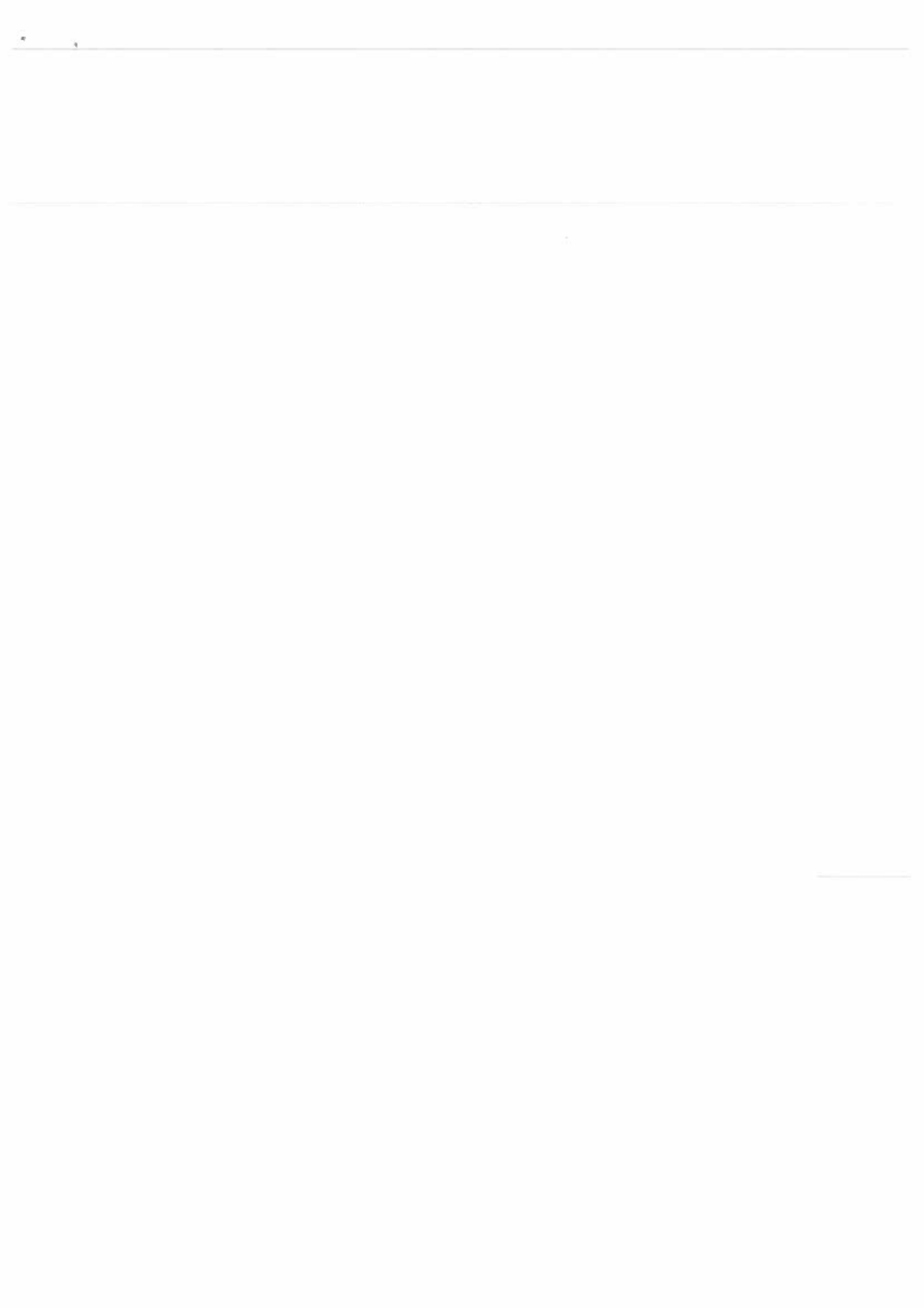3. NO person **shall cause** or permit any vehicle to wait for the purpose of **loading or unloading at any time in any of the lengths of road described in** Schedule 2 of this Order.

 **NO person shall cause or permit any vehicle other than a coach to wait 4.** at any time in the length of road described in Schedule 3 of this Order.

5. NO person shall cause a coach to wait for a period exceeding 15 minutes in the length of road referred to in schedule 3 of this Order or to **return for a further period of waiting in the same length of road if a period of less than 30 minutes has elapsed since the termination of a previous period of waiting by the same coach in the said length of road.**

6. NOTHING in Article 4 or 5 of this Order shall render it unlawful to cause or permit any vehicle to wait in the length of road referred to in **Schedule 3 for so long as may be necessary:-**

- **1. If the vehicle is being used for emergency Fire and Rescue Service,** Ambulance or Police purposes;
- **2. If the vehicle, not being a passenger carrying vehicle, is being used in the service of a local authority in pursuance of statutory powers or** duties provided that it is reasonably necessary in the exercise of such powers or in the performance of such duties for the vehicle to wait in the place in which it is waiting;
- 3. to enable the vehicle, if it cannot conveniently be used for such **purpose in any other road, to be used in connection with any building** or demolition operations, the removal of any obstruction to traffic, the maintenance, improvement or reconstruction of any of the lengths of road so referred to or the laying, erection or alteration or repair in or **near to any of the said lengths of roads or any sewer or of any main, pipe or apparatus for the supply of gas, water or electricity or of any telegraph apparatus as defined in paragraph 1(1) of the** Telecommunications Code contained in the Second Schedule to the Telecommunications Act 1984;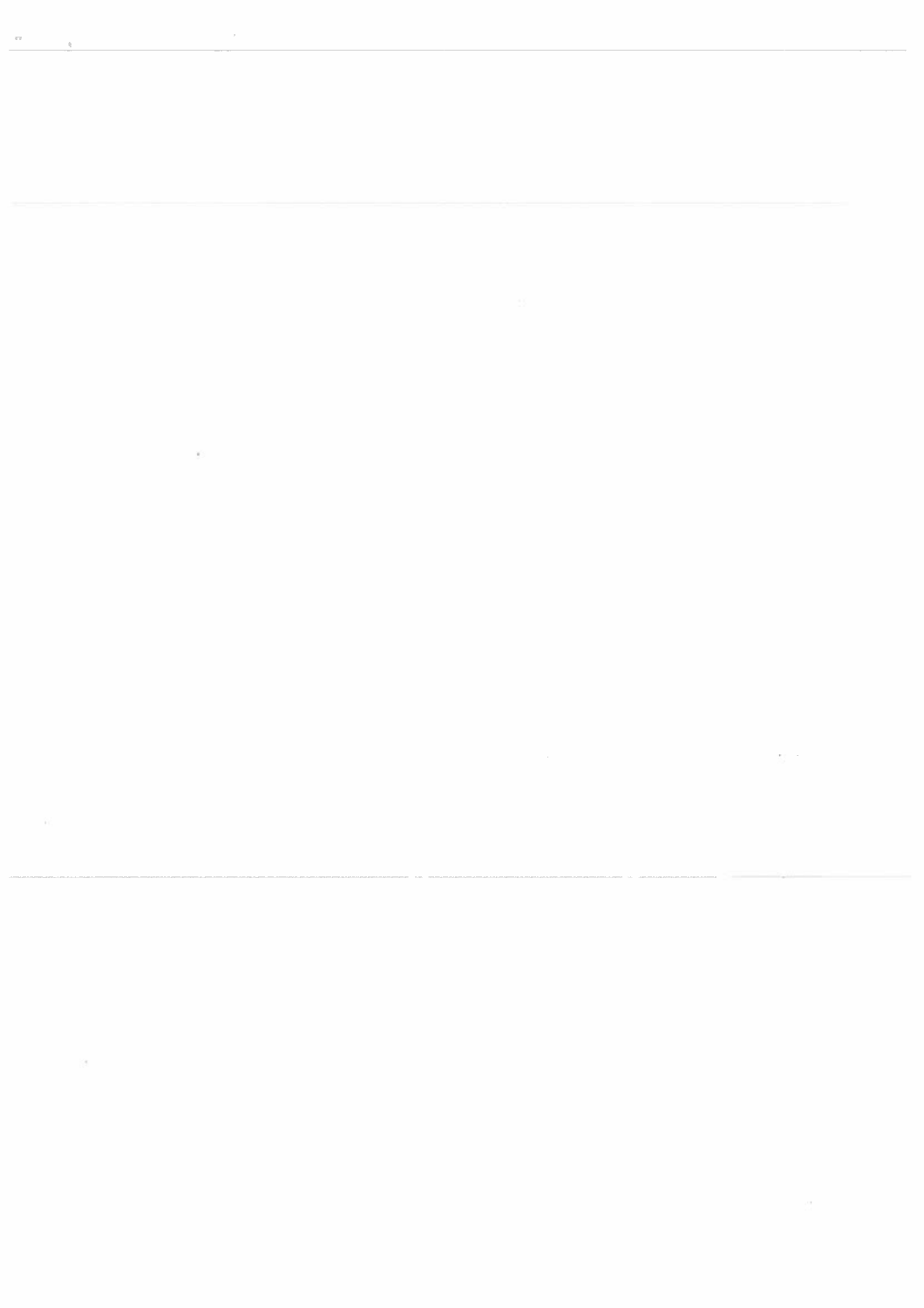- 4. if the vehicle is in the service of or employed by the Post Office and is **waiting in any affected length or road whilst postal packets, as defined in Section 87 of the Post Office Act 1953, addressed to premises adjacent to that length or road are being unloaded from any vehicle or having been unloaded therefrom are being delivered or while postal packets are being collected from premises or posting boxes adjacent to that length or road;**
- **5. if the vehicle is waiting only for so long as may be reasonably necessary while a gate or barrier is opened or closed to allow access or departure to or from adjacent premises;**
- **6. if the vehicle is waiting owing to the driver being prevented from proceeding by circumstances beyond his control, or the driver has been told to wait by a police constable in uniform, or such waiting is necessary in order to avoid an accident;**

**7. IF a vehicle is left or abandoned in a length of road or in any other location whatsoever to which any provision of this Order applies in contravention of any of the provisions of this Order a penalty charge shall be payable and**/**or the vehicle may be removed from that location.**

8. NOTWITHSTANDING any of the foregoing provisions of this Order the Council may **at its discretion (including requiring an administration fee) issue a dispensation allowing a specific vehicle to wait in a length of road or any other location whatsoever to which any provision of this Order applies during the hours of operation of any restriction or prohibition to the contrary.**

 THE provisions in Schedule 2 Part 1 of The Consolidation of Waiting 9. **Restrictions, On Street Parking Places, Residents' Parking Places and Protection of Bus Stops) Order 2003 are hereby revoked so far as the lengths of road specified in Schedule 4 to this Order are concerned.**

10. SAVE as provided in Article 9 of this Order, the 2003 Order shall **remain in full force and effect.**